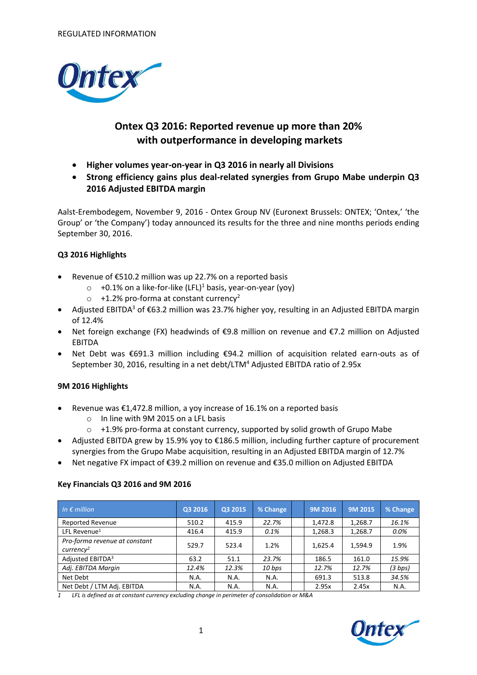

# **Ontex Q3 2016: Reported revenue up more than 20% with outperformance in developing markets**

- **Higher volumes year-on-year in Q3 2016 in nearly all Divisions**
- **Strong efficiency gains plus deal-related synergies from Grupo Mabe underpin Q3 2016 Adjusted EBITDA margin**

Aalst-Erembodegem, November 9, 2016 - Ontex Group NV (Euronext Brussels: ONTEX; 'Ontex,' 'the Group' or 'the Company') today announced its results for the three and nine months periods ending September 30, 2016.

### **Q3 2016 Highlights**

- Revenue of €510.2 million was up 22.7% on a reported basis
	- $\circ$  +0.1% on a like-for-like (LFL)<sup>1</sup> basis, year-on-year (yoy)
	- $\circ$  +1.2% pro-forma at constant currency<sup>2</sup>
- Adjusted EBITDA<sup>3</sup> of  $\epsilon$ 63.2 million was 23.7% higher yoy, resulting in an Adjusted EBITDA margin of 12.4%
- Net foreign exchange (FX) headwinds of €9.8 million on revenue and €7.2 million on Adjusted EBITDA
- Net Debt was €691.3 million including €94.2 million of acquisition related earn-outs as of September 30, 2016, resulting in a net debt/LTM<sup>4</sup> Adjusted EBITDA ratio of 2.95x

### **9M 2016 Highlights**

- Revenue was €1,472.8 million, a yoy increase of 16.1% on a reported basis
	- o In line with 9M 2015 on a LFL basis
	- o +1.9% pro-forma at constant currency, supported by solid growth of Grupo Mabe
- Adjusted EBITDA grew by 15.9% yoy to €186.5 million, including further capture of procurement synergies from the Grupo Mabe acquisition, resulting in an Adjusted EBITDA margin of 12.7%
- Net negative FX impact of €39.2 million on revenue and €35.0 million on Adjusted EBITDA

### **Key Financials Q3 2016 and 9M 2016**

| In $\epsilon$ million                            | Q3 2016 | Q3 2015 | % Change | 9M 2016 | 9M 2015 | % Change |
|--------------------------------------------------|---------|---------|----------|---------|---------|----------|
| <b>Reported Revenue</b>                          | 510.2   | 415.9   | 22.7%    | 1,472.8 | 1,268.7 | 16.1%    |
| LFL Revenue <sup>1</sup>                         | 416.4   | 415.9   | 0.1%     | 1,268.3 | 1,268.7 | $0.0\%$  |
| Pro-forma revenue at constant<br>$curve$ n $cv2$ | 529.7   | 523.4   | 1.2%     | 1,625.4 | 1,594.9 | 1.9%     |
| Adjusted EBITDA <sup>3</sup>                     | 63.2    | 51.1    | 23.7%    | 186.5   | 161.0   | 15.9%    |
| Adj. EBITDA Margin                               | 12.4%   | 12.3%   | 10 bps   | 12.7%   | 12.7%   | (3 bps)  |
| Net Debt                                         | N.A.    | N.A.    | N.A.     | 691.3   | 513.8   | 34.5%    |
| Net Debt / LTM Adj. EBITDA                       | N.A.    | N.A.    | N.A.     | 2.95x   | 2.45x   | N.A.     |

*1 LFL is defined as at constant currency excluding change in perimeter of consolidation or M&A*

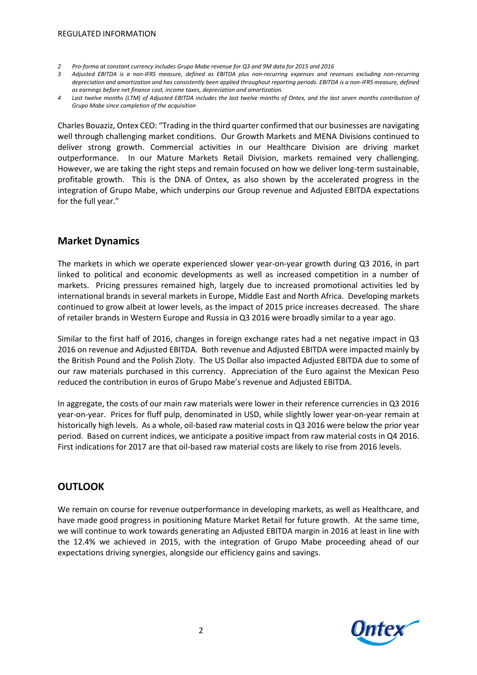- *2 Pro-forma at constant currency includes Grupo Mabe revenue for Q3 and 9M data for 2015 and 2016*
- *3 Adjusted EBITDA is a non-IFRS measure, defined as EBITDA plus non-recurring expenses and revenues excluding non-recurring depreciation and amortization and has consistently been applied throughout reporting periods. EBITDA is a non-IFRS measure, defined as earnings before net finance cost, income taxes, depreciation and amortization.*
- *4 Last twelve months (LTM) of Adjusted EBITDA includes the last twelve months of Ontex, and the last seven months contribution of Grupo Mabe since completion of the acquisition*

Charles Bouaziz, Ontex CEO: "Trading in the third quarter confirmed that our businesses are navigating well through challenging market conditions. Our Growth Markets and MENA Divisions continued to deliver strong growth. Commercial activities in our Healthcare Division are driving market outperformance. In our Mature Markets Retail Division, markets remained very challenging. However, we are taking the right steps and remain focused on how we deliver long-term sustainable, profitable growth. This is the DNA of Ontex, as also shown by the accelerated progress in the integration of Grupo Mabe, which underpins our Group revenue and Adjusted EBITDA expectations for the full year."

# **Market Dynamics**

The markets in which we operate experienced slower year-on-year growth during Q3 2016, in part linked to political and economic developments as well as increased competition in a number of markets. Pricing pressures remained high, largely due to increased promotional activities led by international brands in several markets in Europe, Middle East and North Africa. Developing markets continued to grow albeit at lower levels, as the impact of 2015 price increases decreased. The share of retailer brands in Western Europe and Russia in Q3 2016 were broadly similar to a year ago.

Similar to the first half of 2016, changes in foreign exchange rates had a net negative impact in Q3 2016 on revenue and Adjusted EBITDA. Both revenue and Adjusted EBITDA were impacted mainly by the British Pound and the Polish Zloty. The US Dollar also impacted Adjusted EBITDA due to some of our raw materials purchased in this currency. Appreciation of the Euro against the Mexican Peso reduced the contribution in euros of Grupo Mabe's revenue and Adjusted EBITDA.

In aggregate, the costs of our main raw materials were lower in their reference currencies in Q3 2016 year-on-year. Prices for fluff pulp, denominated in USD, while slightly lower year-on-year remain at historically high levels. As a whole, oil-based raw material costs in Q3 2016 were below the prior year period. Based on current indices, we anticipate a positive impact from raw material costs in Q4 2016. First indications for 2017 are that oil-based raw material costs are likely to rise from 2016 levels.

# **OUTLOOK**

We remain on course for revenue outperformance in developing markets, as well as Healthcare, and have made good progress in positioning Mature Market Retail for future growth. At the same time, we will continue to work towards generating an Adjusted EBITDA margin in 2016 at least in line with the 12.4% we achieved in 2015, with the integration of Grupo Mabe proceeding ahead of our expectations driving synergies, alongside our efficiency gains and savings.

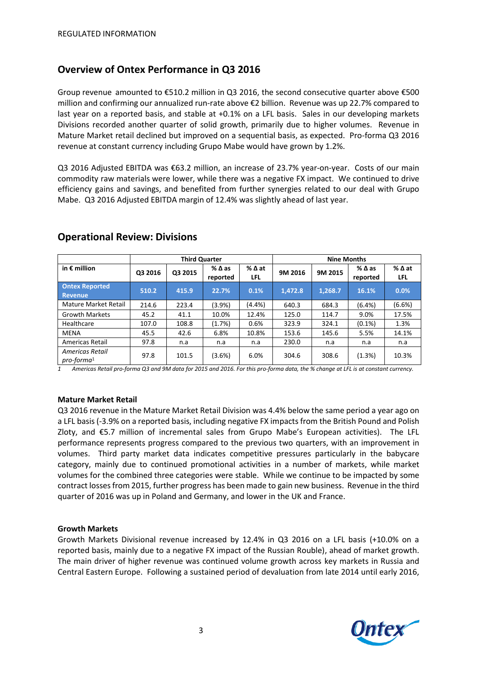# **Overview of Ontex Performance in Q3 2016**

Group revenue amounted to €510.2 million in Q3 2016, the second consecutive quarter above €500 million and confirming our annualized run-rate above €2 billion. Revenue was up 22.7% compared to last year on a reported basis, and stable at +0.1% on a LFL basis. Sales in our developing markets Divisions recorded another quarter of solid growth, primarily due to higher volumes. Revenue in Mature Market retail declined but improved on a sequential basis, as expected. Pro-forma Q3 2016 revenue at constant currency including Grupo Mabe would have grown by 1.2%.

Q3 2016 Adjusted EBITDA was €63.2 million, an increase of 23.7% year-on-year. Costs of our main commodity raw materials were lower, while there was a negative FX impact. We continued to drive efficiency gains and savings, and benefited from further synergies related to our deal with Grupo Mabe. Q3 2016 Adjusted EBITDA margin of 12.4% was slightly ahead of last year.

|                                  | <b>Third Quarter</b> |         |                             |                               | <b>Nine Months</b> |         |                             |                        |
|----------------------------------|----------------------|---------|-----------------------------|-------------------------------|--------------------|---------|-----------------------------|------------------------|
| in $\epsilon$ million            | Q3 2016              | Q3 2015 | $%$ $\Delta$ as<br>reported | $%$ $\Delta$ at<br><b>LFL</b> | 9M 2016            | 9M 2015 | $%$ $\Delta$ as<br>reported | $%$ $\Delta$ at<br>LFL |
| <b>Ontex Reported</b><br>Revenue | 510.2                | 415.9   | 22.7%                       | 0.1%                          | 1,472.8            | 1,268.7 | 16.1%                       | 0.0%                   |
| Mature Market Retail             | 214.6                | 223.4   | (3.9%)                      | (4.4% )                       | 640.3              | 684.3   | $(6.4\%)$                   | (6.6%)                 |
| <b>Growth Markets</b>            | 45.2                 | 41.1    | 10.0%                       | 12.4%                         | 125.0              | 114.7   | 9.0%                        | 17.5%                  |
| Healthcare                       | 107.0                | 108.8   | (1.7%)                      | 0.6%                          | 323.9              | 324.1   | $(0.1\%)$                   | 1.3%                   |
| <b>MENA</b>                      | 45.5                 | 42.6    | 6.8%                        | 10.8%                         | 153.6              | 145.6   | 5.5%                        | 14.1%                  |
| Americas Retail                  | 97.8                 | n.a     | n.a                         | n.a                           | 230.0              | n.a     | n.a                         | n.a                    |
| Americas Retail<br>$pro-forma1$  | 97.8                 | 101.5   | (3.6%)                      | 6.0%                          | 304.6              | 308.6   | (1.3%)                      | 10.3%                  |

## **Operational Review: Divisions**

*1 Americas Retail pro-forma Q3 and 9M data for 2015 and 2016. For this pro-forma data, the % change at LFL is at constant currency.*

#### **Mature Market Retail**

Q3 2016 revenue in the Mature Market Retail Division was 4.4% below the same period a year ago on a LFL basis (-3.9% on a reported basis, including negative FX impacts from the British Pound and Polish Zloty, and €5.7 million of incremental sales from Grupo Mabe's European activities). The LFL performance represents progress compared to the previous two quarters, with an improvement in volumes. Third party market data indicates competitive pressures particularly in the babycare category, mainly due to continued promotional activities in a number of markets, while market volumes for the combined three categories were stable. While we continue to be impacted by some contract losses from 2015, further progress has been made to gain new business. Revenue in the third quarter of 2016 was up in Poland and Germany, and lower in the UK and France.

#### **Growth Markets**

Growth Markets Divisional revenue increased by 12.4% in Q3 2016 on a LFL basis (+10.0% on a reported basis, mainly due to a negative FX impact of the Russian Rouble), ahead of market growth. The main driver of higher revenue was continued volume growth across key markets in Russia and Central Eastern Europe. Following a sustained period of devaluation from late 2014 until early 2016,

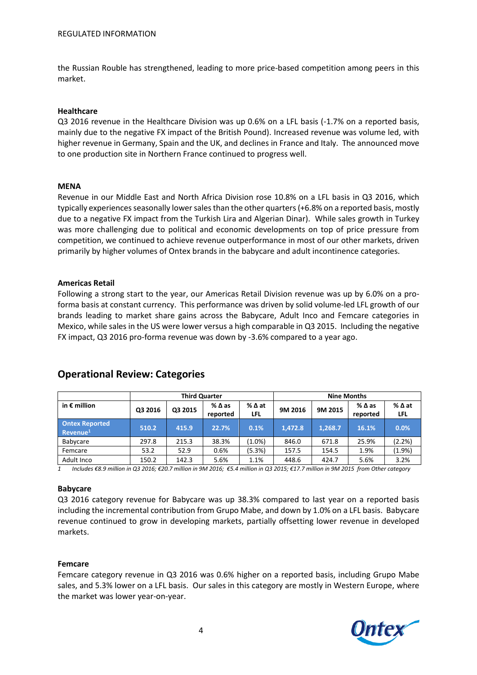the Russian Rouble has strengthened, leading to more price-based competition among peers in this market.

#### **Healthcare**

Q3 2016 revenue in the Healthcare Division was up 0.6% on a LFL basis (-1.7% on a reported basis, mainly due to the negative FX impact of the British Pound). Increased revenue was volume led, with higher revenue in Germany, Spain and the UK, and declines in France and Italy. The announced move to one production site in Northern France continued to progress well.

#### **MENA**

Revenue in our Middle East and North Africa Division rose 10.8% on a LFL basis in Q3 2016, which typically experiences seasonally lower sales than the other quarters(+6.8% on a reported basis, mostly due to a negative FX impact from the Turkish Lira and Algerian Dinar). While sales growth in Turkey was more challenging due to political and economic developments on top of price pressure from competition, we continued to achieve revenue outperformance in most of our other markets, driven primarily by higher volumes of Ontex brands in the babycare and adult incontinence categories.

#### **Americas Retail**

Following a strong start to the year, our Americas Retail Division revenue was up by 6.0% on a proforma basis at constant currency. This performance was driven by solid volume-led LFL growth of our brands leading to market share gains across the Babycare, Adult Inco and Femcare categories in Mexico, while sales in the US were lower versus a high comparable in Q3 2015. Including the negative FX impact, Q3 2016 pro-forma revenue was down by -3.6% compared to a year ago.

|                                         | <b>Third Quarter</b> |         |                                |                      | <b>Nine Months</b> |         |                             |                               |
|-----------------------------------------|----------------------|---------|--------------------------------|----------------------|--------------------|---------|-----------------------------|-------------------------------|
| in $\epsilon$ million                   | Q3 2016              | Q3 2015 | $%$ $\triangle$ as<br>reported | % ∆ at<br><b>LFL</b> | 9M 2016            | 9M 2015 | $%$ $\Delta$ as<br>reported | $%$ $\Delta$ at<br><b>LFL</b> |
| <b>Ontex Reported</b><br>$Re$ venue $1$ | 510.2                | 415.9   | 22.7%                          | 0.1%                 | 1,472.8            | 1,268.7 | 16.1%                       | 0.0%                          |
| Babycare                                | 297.8                | 215.3   | 38.3%                          | $(1.0\%)$            | 846.0              | 671.8   | 25.9%                       | (2.2%)                        |
| Femcare                                 | 53.2                 | 52.9    | 0.6%                           | (5.3%)               | 157.5              | 154.5   | 1.9%                        | (1.9%                         |
| Adult Inco                              | 150.2                | 142.3   | 5.6%                           | 1.1%                 | 448.6              | 424.7   | 5.6%                        | 3.2%                          |

### **Operational Review: Categories**

1 Includes €8.9 million in Q3 2016; €20.7 million in 9M 2016; €5.4 million in Q3 2015; €17.7 million in 9M 2015 from Other category

#### **Babycare**

Q3 2016 category revenue for Babycare was up 38.3% compared to last year on a reported basis including the incremental contribution from Grupo Mabe, and down by 1.0% on a LFL basis. Babycare revenue continued to grow in developing markets, partially offsetting lower revenue in developed markets.

#### **Femcare**

Femcare category revenue in Q3 2016 was 0.6% higher on a reported basis, including Grupo Mabe sales, and 5.3% lower on a LFL basis. Our sales in this category are mostly in Western Europe, where the market was lower year-on-year.

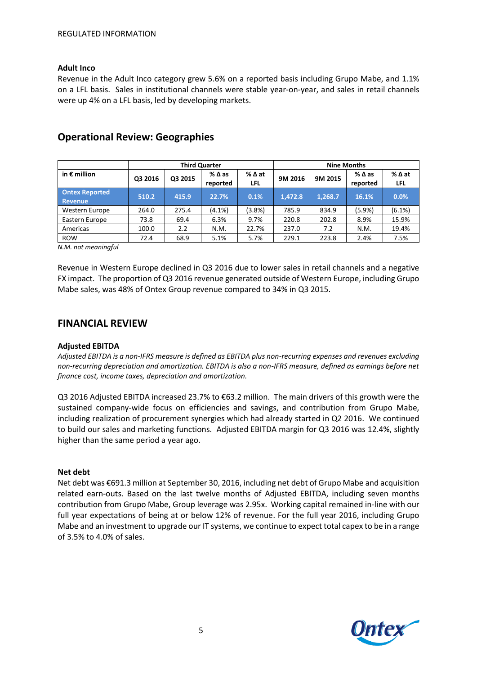#### **Adult Inco**

Revenue in the Adult Inco category grew 5.6% on a reported basis including Grupo Mabe, and 1.1% on a LFL basis. Sales in institutional channels were stable year-on-year, and sales in retail channels were up 4% on a LFL basis, led by developing markets.

|                                  | <b>Third Quarter</b> |         |                             |             | <b>Nine Months</b> |         |                  |                        |
|----------------------------------|----------------------|---------|-----------------------------|-------------|--------------------|---------|------------------|------------------------|
| in $\epsilon$ million            | Q3 2016              | Q3 2015 | $%$ $\Delta$ as<br>reported | %∆at<br>LFL | 9M 2016            | 9M 2015 | %∆as<br>reported | $%$ $\Delta$ at<br>LFL |
| <b>Ontex Reported</b><br>Revenue | 510.2                | 415.9   | 22.7%                       | 0.1%        | 1.472.8            | 1.268.7 | 16.1%            | 0.0%                   |
| Western Europe                   | 264.0                | 275.4   | $(4.1\%)$                   | $(3.8\%)$   | 785.9              | 834.9   | (5.9%)           | $(6.1\%)$              |
| Eastern Europe                   | 73.8                 | 69.4    | 6.3%                        | 9.7%        | 220.8              | 202.8   | 8.9%             | 15.9%                  |
| Americas                         | 100.0                | 2.2     | N.M.                        | 22.7%       | 237.0              | 7.2     | N.M.             | 19.4%                  |
| <b>ROW</b>                       | 72.4                 | 68.9    | 5.1%                        | 5.7%        | 229.1              | 223.8   | 2.4%             | 7.5%                   |

# **Operational Review: Geographies**

*N.M. not meaningful*

Revenue in Western Europe declined in Q3 2016 due to lower sales in retail channels and a negative FX impact. The proportion of Q3 2016 revenue generated outside of Western Europe, including Grupo Mabe sales, was 48% of Ontex Group revenue compared to 34% in Q3 2015.

### **FINANCIAL REVIEW**

#### **Adjusted EBITDA**

*Adjusted EBITDA is a non-IFRS measure is defined as EBITDA plus non-recurring expenses and revenues excluding non-recurring depreciation and amortization. EBITDA is also a non-IFRS measure, defined as earnings before net finance cost, income taxes, depreciation and amortization.*

Q3 2016 Adjusted EBITDA increased 23.7% to €63.2 million. The main drivers of this growth were the sustained company-wide focus on efficiencies and savings, and contribution from Grupo Mabe, including realization of procurement synergies which had already started in Q2 2016. We continued to build our sales and marketing functions. Adjusted EBITDA margin for Q3 2016 was 12.4%, slightly higher than the same period a year ago.

#### **Net debt**

Net debt was €691.3 million at September 30, 2016, including net debt of Grupo Mabe and acquisition related earn-outs. Based on the last twelve months of Adjusted EBITDA, including seven months contribution from Grupo Mabe, Group leverage was 2.95x. Working capital remained in-line with our full year expectations of being at or below 12% of revenue. For the full year 2016, including Grupo Mabe and an investment to upgrade our IT systems, we continue to expect total capex to be in a range of 3.5% to 4.0% of sales.

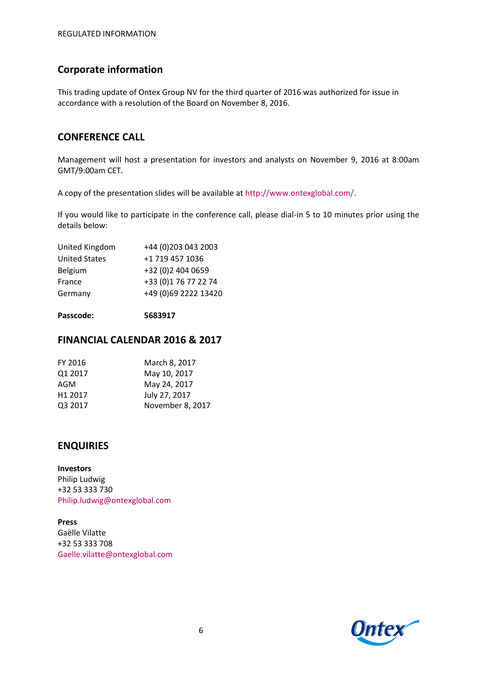# **Corporate information**

This trading update of Ontex Group NV for the third quarter of 2016 was authorized for issue in accordance with a resolution of the Board on November 8, 2016.

# **CONFERENCE CALL**

Management will host a presentation for investors and analysts on November 9, 2016 at 8:00am GMT/9:00am CET.

A copy of the presentation slides will be available at<http://www.ontexglobal.com/>.

If you would like to participate in the conference call, please dial-in 5 to 10 minutes prior using the details below:

| United Kingdom       | +44 (0) 203 043 2003 |
|----------------------|----------------------|
| <b>United States</b> | +1 719 457 1036      |
| Belgium              | +32 (0)2 404 0659    |
| France               | +33 (0)1 76 77 22 74 |
| Germany              | +49 (0)69 2222 13420 |
|                      |                      |

**Passcode: 5683917**

## **FINANCIAL CALENDAR 2016 & 2017**

| FY 2016             | March 8, 2017    |
|---------------------|------------------|
| Q1 2017             | May 10, 2017     |
| AGM                 | May 24, 2017     |
| H <sub>1</sub> 2017 | July 27, 2017    |
| Q3 2017             | November 8, 2017 |
|                     |                  |

# **ENQUIRIES**

**Investors** Philip Ludwig +32 53 333 730 [Philip.ludwig@ontexglobal.com](mailto:Philip.ludwig@ontexglobal.com)

**Press** Gaëlle Vilatte +32 53 333 708 Gaelle.vilatte@ontexglobal.com